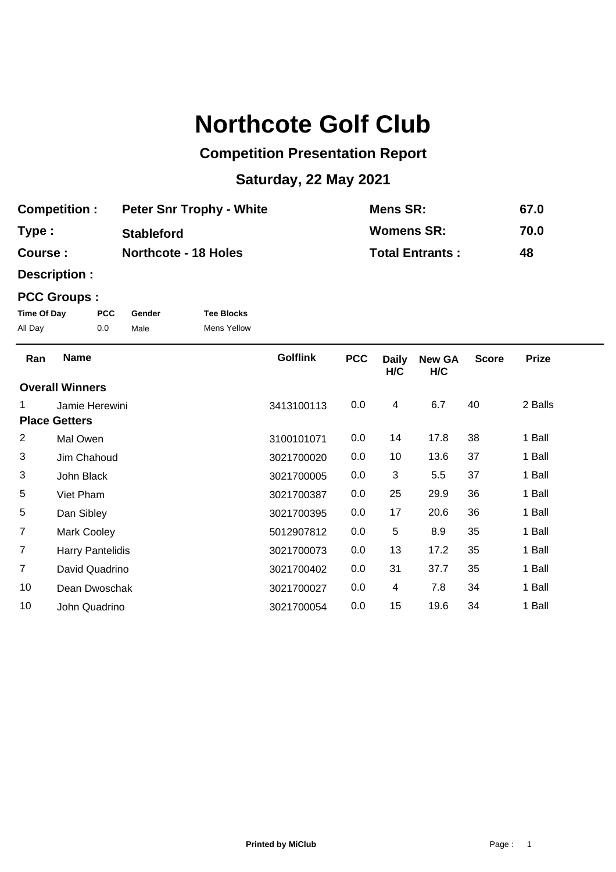## **Northcote Golf Club**

## **Competition Presentation Report**

## **Saturday, 22 May 2021**

| <b>Competition:</b> | <b>Peter Snr Trophy - White</b> | Mens SR:               | 67.0 |
|---------------------|---------------------------------|------------------------|------|
| Type:               | <b>Stableford</b>               | <b>Womens SR:</b>      | 70.0 |
| Course:             | <b>Northcote - 18 Holes</b>     | <b>Total Entrants:</b> | 48   |

**Description :**

## **PCC Groups :**

| Time Of Day | <b>PCC</b> | Gender | <b>Tee Blocks</b>  |
|-------------|------------|--------|--------------------|
| All Day     | 0.0        | Male   | <b>Mens Yellow</b> |

| Ran            | <b>Name</b>             | <b>Golflink</b> | <b>PCC</b> | <b>Daily</b><br>H/C | <b>New GA</b><br>H/C | <b>Score</b> | <b>Prize</b> |  |
|----------------|-------------------------|-----------------|------------|---------------------|----------------------|--------------|--------------|--|
|                | <b>Overall Winners</b>  |                 |            |                     |                      |              |              |  |
| 1              | Jamie Herewini          | 3413100113      | 0.0        | 4                   | 6.7                  | 40           | 2 Balls      |  |
|                | <b>Place Getters</b>    |                 |            |                     |                      |              |              |  |
| 2              | Mal Owen                | 3100101071      | 0.0        | 14                  | 17.8                 | 38           | 1 Ball       |  |
| 3              | Jim Chahoud             | 3021700020      | 0.0        | 10                  | 13.6                 | 37           | 1 Ball       |  |
| 3              | John Black              | 3021700005      | 0.0        | 3                   | 5.5                  | 37           | 1 Ball       |  |
| 5              | Viet Pham               | 3021700387      | 0.0        | 25                  | 29.9                 | 36           | 1 Ball       |  |
| 5              | Dan Sibley              | 3021700395      | 0.0        | 17                  | 20.6                 | 36           | 1 Ball       |  |
| 7              | <b>Mark Cooley</b>      | 5012907812      | 0.0        | 5                   | 8.9                  | 35           | 1 Ball       |  |
| $\overline{7}$ | <b>Harry Pantelidis</b> | 3021700073      | 0.0        | 13                  | 17.2                 | 35           | 1 Ball       |  |
| $\overline{7}$ | David Quadrino          | 3021700402      | 0.0        | 31                  | 37.7                 | 35           | 1 Ball       |  |
| 10             | Dean Dwoschak           | 3021700027      | 0.0        | 4                   | 7.8                  | 34           | 1 Ball       |  |
| 10             | John Quadrino           | 3021700054      | 0.0        | 15                  | 19.6                 | 34           | 1 Ball       |  |